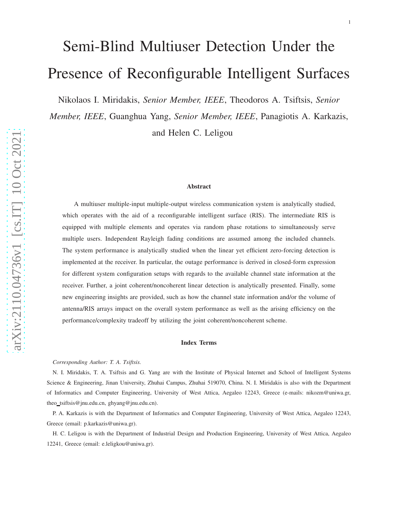# Semi-Blind Multiuser Detection Under the Presence of Reconfigurable Intelligent Surfaces

Nikolaos I. Miridakis, *Senior Member, IEEE*, Theodoros A. Tsiftsis, *Senior*

*Member, IEEE*, Guanghua Yang, *Senior Member, IEEE*, Panagiotis A. Karkazis,

and Helen C. Leligou

#### Abstract

A multiuser multiple-input multiple-output wireless communication system is analytically studied, which operates with the aid of a reconfigurable intelligent surface (RIS). The intermediate RIS is equipped with multiple elements and operates via random phase rotations to simultaneously serve multiple users. Independent Rayleigh fading conditions are assumed among the included channels. The system performance is analytically studied when the linear yet efficient zero-forcing detection is implemented at the receiver. In particular, the outage performance is derived in closed-form expression for different system configuration setups with regards to the available channel state information at the receiver. Further, a joint coherent/noncoherent linear detection is analytically presented. Finally, some new engineering insights are provided, such as how the channel state information and/or the volume of antenna/RIS arrays impact on the overall system performance as well as the arising efficiency on the performance/complexity tradeoff by utilizing the joint coherent/noncoherent scheme.

#### Index Terms

#### *Corresponding Author: T. A. Tsiftsis.*

N. I. Miridakis, T. A. Tsiftsis and G. Yang are with the Institute of Physical Internet and School of Intelligent Systems Science & Engineering, Jinan University, Zhuhai Campus, Zhuhai 519070, China. N. I. Miridakis is also with the Department of Informatics and Computer Engineering, University of West Attica, Aegaleo 12243, Greece (e-mails: nikozm@uniwa.gr, theo\_tsiftsis@jnu.edu.cn, ghyang@jnu.edu.cn).

P. A. Karkazis is with the Department of Informatics and Computer Engineering, University of West Attica, Aegaleo 12243, Greece (email: p.karkazis@uniwa.gr).

H. C. Leligou is with the Department of Industrial Design and Production Engineering, University of West Attica, Aegaleo 12241, Greece (email: e.leligkou@uniwa.gr).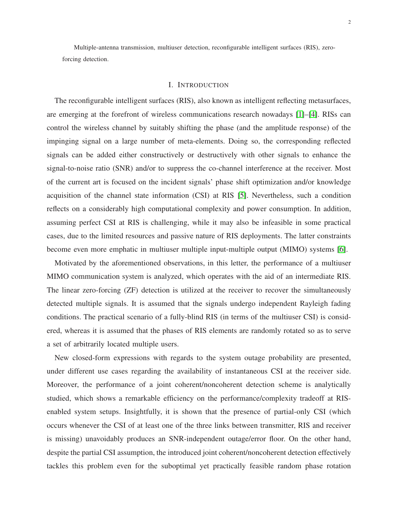Multiple-antenna transmission, multiuser detection, reconfigurable intelligent surfaces (RIS), zeroforcing detection.

#### I. INTRODUCTION

The reconfigurable intelligent surfaces (RIS), also known as intelligent reflecting metasurfaces, are emerging at the forefront of wireless communications research nowadays [\[1\]](#page-11-0)–[\[4\]](#page-11-1). RISs can control the wireless channel by suitably shifting the phase (and the amplitude response) of the impinging signal on a large number of meta-elements. Doing so, the corresponding reflected signals can be added either constructively or destructively with other signals to enhance the signal-to-noise ratio (SNR) and/or to suppress the co-channel interference at the receiver. Most of the current art is focused on the incident signals' phase shift optimization and/or knowledge acquisition of the channel state information (CSI) at RIS [\[5\]](#page-11-2). Nevertheless, such a condition reflects on a considerably high computational complexity and power consumption. In addition, assuming perfect CSI at RIS is challenging, while it may also be infeasible in some practical cases, due to the limited resources and passive nature of RIS deployments. The latter constraints become even more emphatic in multiuser multiple input-multiple output (MIMO) systems [\[6\]](#page-11-3).

Motivated by the aforementioned observations, in this letter, the performance of a multiuser MIMO communication system is analyzed, which operates with the aid of an intermediate RIS. The linear zero-forcing (ZF) detection is utilized at the receiver to recover the simultaneously detected multiple signals. It is assumed that the signals undergo independent Rayleigh fading conditions. The practical scenario of a fully-blind RIS (in terms of the multiuser CSI) is considered, whereas it is assumed that the phases of RIS elements are randomly rotated so as to serve a set of arbitrarily located multiple users.

New closed-form expressions with regards to the system outage probability are presented, under different use cases regarding the availability of instantaneous CSI at the receiver side. Moreover, the performance of a joint coherent/noncoherent detection scheme is analytically studied, which shows a remarkable efficiency on the performance/complexity tradeoff at RISenabled system setups. Insightfully, it is shown that the presence of partial-only CSI (which occurs whenever the CSI of at least one of the three links between transmitter, RIS and receiver is missing) unavoidably produces an SNR-independent outage/error floor. On the other hand, despite the partial CSI assumption, the introduced joint coherent/noncoherent detection effectively tackles this problem even for the suboptimal yet practically feasible random phase rotation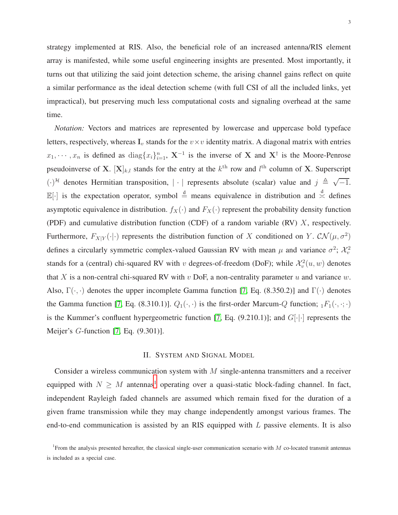strategy implemented at RIS. Also, the beneficial role of an increased antenna/RIS element array is manifested, while some useful engineering insights are presented. Most importantly, it turns out that utilizing the said joint detection scheme, the arising channel gains reflect on quite a similar performance as the ideal detection scheme (with full CSI of all the included links, yet impractical), but preserving much less computational costs and signaling overhead at the same time.

*Notation:* Vectors and matrices are represented by lowercase and uppercase bold typeface letters, respectively, whereas  $I_v$  stands for the  $v \times v$  identity matrix. A diagonal matrix with entries  $x_1, \dots, x_n$  is defined as  $\text{diag}\{x_i\}_{i=1}^n$ ,  $X^{-1}$  is the inverse of X and  $X^{\dagger}$  is the Moore-Penrose pseudoinverse of X.  $[X]_{k,l}$  stands for the entry at the  $k^{\text{th}}$  row and  $l^{\text{th}}$  column of X. Superscript (·)<sup> $#$ </sup> denotes Hermitian transposition, | · | represents absolute (scalar) value and  $j \triangleq \sqrt{-1}$ .  $\mathbb{E}[\cdot]$  is the expectation operator, symbol  $\stackrel{d}{=}$  means equivalence in distribution and  $\stackrel{d}{\sim}$  defines asymptotic equivalence in distribution.  $f_X(\cdot)$  and  $F_X(\cdot)$  represent the probability density function (PDF) and cumulative distribution function (CDF) of a random variable (RV)  $X$ , respectively. Furthermore,  $F_{X|Y}(\cdot|\cdot)$  represents the distribution function of X conditioned on Y.  $\mathcal{CN}(\mu, \sigma^2)$ defines a circularly symmetric complex-valued Gaussian RV with mean  $\mu$  and variance  $\sigma^2$ ;  $\mathcal{X}_v^2$ v stands for a (central) chi-squared RV with v degrees-of-freedom (DoF); while  $\mathcal{X}_v^2$  $v<sub>v</sub><sup>2</sup>(u, w)$  denotes that X is a non-central chi-squared RV with  $v$  DoF, a non-centrality parameter  $u$  and variance  $w$ . Also,  $\Gamma(\cdot, \cdot)$  denotes the upper incomplete Gamma function [\[7,](#page-11-4) Eq. (8.350.2)] and  $\Gamma(\cdot)$  denotes the Gamma function [\[7,](#page-11-4) Eq. (8.310.1)].  $Q_1(\cdot, \cdot)$  is the first-order Marcum- $Q$  function;  ${}_1F_1(\cdot, \cdot; \cdot)$ is the Kummer's confluent hypergeometric function [\[7,](#page-11-4) Eq.  $(9.210.1)$ ]; and  $G[\cdot]\cdot$ ] represents the Meijer's G-function [\[7,](#page-11-4) Eq. (9.301)].

#### II. SYSTEM AND SIGNAL MODEL

Consider a wireless communication system with  $M$  single-antenna transmitters and a receiver equipped with  $N \geq M$  antennas<sup>[1](#page-2-0)</sup> operating over a quasi-static block-fading channel. In fact, independent Rayleigh faded channels are assumed which remain fixed for the duration of a given frame transmission while they may change independently amongst various frames. The end-to-end communication is assisted by an RIS equipped with L passive elements. It is also

<span id="page-2-0"></span><sup>&</sup>lt;sup>1</sup> From the analysis presented hereafter, the classical single-user communication scenario with  $M$  co-located transmit antennas is included as a special case.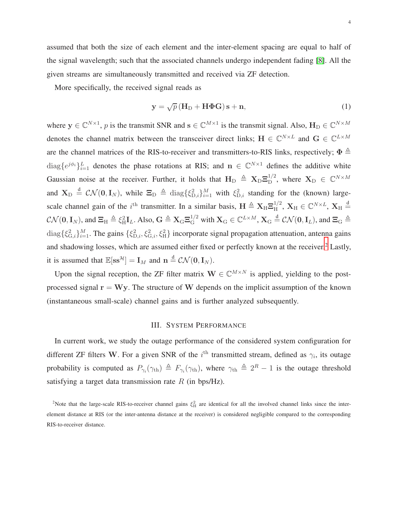assumed that both the size of each element and the inter-element spacing are equal to half of the signal wavelength; such that the associated channels undergo independent fading [\[8\]](#page-12-0). All the given streams are simultaneously transmitted and received via ZF detection.

More specifically, the received signal reads as

$$
\mathbf{y} = \sqrt{p} \left( \mathbf{H}_{\mathrm{D}} + \mathbf{H} \mathbf{\Phi} \mathbf{G} \right) \mathbf{s} + \mathbf{n},\tag{1}
$$

where  $y \in \mathbb{C}^{N \times 1}$ , p is the transmit SNR and  $s \in \mathbb{C}^{M \times 1}$  is the transmit signal. Also,  $H_D \in \mathbb{C}^{N \times M}$ denotes the channel matrix between the transceiver direct links;  $\mathbf{H} \in \mathbb{C}^{N \times L}$  and  $\mathbf{G} \in \mathbb{C}^{L \times M}$ are the channel matrices of the RIS-to-receiver and transmitters-to-RIS links, respectively;  $\Phi \triangleq$  $\text{diag}\{e^{j\phi_i}\}_{i=1}^L$  denotes the phase rotations at RIS; and  $n \in \mathbb{C}^{N \times 1}$  defines the additive white Gaussian noise at the receiver. Further, it holds that  $H_D \triangleq X_D \Xi_D^{1/2}$  $_{\text{D}}^{1/2}$ , where  $\mathbf{X}_{\text{D}} \in \mathbb{C}^{N \times M}$ and  $X_D \stackrel{d}{=} C\mathcal{N}(0, I_N)$ , while  $\Xi_D \stackrel{\Delta}{=} \text{diag}\{\xi_{D,i}^2\}_{i=1}^M$  with  $\xi_{D,i}^2$  standing for the (known) largescale channel gain of the i<sup>th</sup> transmitter. In a similar basis,  $H \triangleq X_H \Xi_H^{1/2}$  $_{\rm H}^{1/2}$ ,  $\mathbf{X}_{\rm H} \in \mathbb{C}^{N \times L}$ ,  $\mathbf{X}_{\rm H} \stackrel{\text{d}}{=}$  $\mathcal{CN}(\mathbf{0}, \mathbf{I}_N)$ , and  $\mathbf{\Xi}_{\mathrm{H}} \triangleq \xi_{\mathrm{H}}^2 \mathbf{I}_L$ . Also,  $\mathbf{G} \triangleq \mathbf{X}_{\mathrm{G}} \mathbf{\Xi}_{\mathrm{G}}^{1/2}$  with  $\mathbf{X}_{\mathrm{G}} \in \mathbb{C}^{L \times M}$ ,  $\mathbf{X}_{\mathrm{G}} \triangleq \mathcal{CN}(\mathbf{0}, \mathbf{I}_L)$ , and  $\mathbf{\Xi}_{\mathrm{G}} \triangleq$  $\text{diag}\{\xi_{\text{G},i}^2\}_{i=1}^M$ . The gains  $\{\xi_{\text{D},i}^2,\xi_{\text{G},i}^2,\xi_{\text{H}}^2\}$  incorporate signal propagation attenuation, antenna gains and shadowing losses, which are assumed either fixed or perfectly known at the receiver.<sup>[2](#page-3-0)</sup> Lastly, it is assumed that  $\mathbb{E}[\mathbf{s}^{\mathcal{H}}] = \mathbf{I}_M$  and  $\mathbf{n} \stackrel{\text{d}}{=} \mathcal{CN}(\mathbf{0}, \mathbf{I}_N)$ .

Upon the signal reception, the ZF filter matrix  $\mathbf{W} \in \mathbb{C}^{M \times N}$  is applied, yielding to the postprocessed signal  $r = Wy$ . The structure of W depends on the implicit assumption of the known (instantaneous small-scale) channel gains and is further analyzed subsequently.

### III. SYSTEM PERFORMANCE

In current work, we study the outage performance of the considered system configuration for different ZF filters W. For a given SNR of the  $i^{\text{th}}$  transmitted stream, defined as  $\gamma_i$ , its outage probability is computed as  $P_{\gamma_i}(\gamma_{th}) \triangleq F_{\gamma_i}(\gamma_{th})$ , where  $\gamma_{th} \triangleq 2^R - 1$  is the outage threshold satisfying a target data transmission rate  $R$  (in bps/Hz).

<span id="page-3-0"></span><sup>&</sup>lt;sup>2</sup>Note that the large-scale RIS-to-receiver channel gains  $\xi_H^2$  are identical for all the involved channel links since the interelement distance at RIS (or the inter-antenna distance at the receiver) is considered negligible compared to the corresponding RIS-to-receiver distance.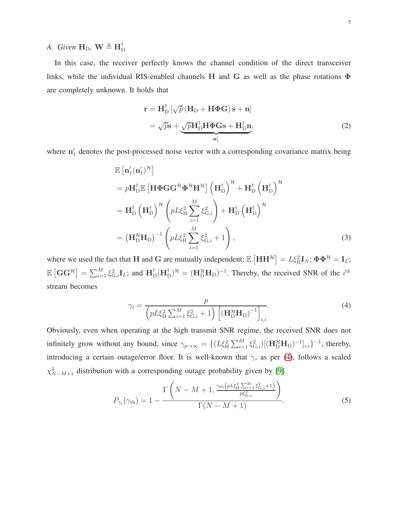*A. Given*  $\mathbf{H}_{\mathrm{D}}$ ,  $\mathbf{W} \triangleq \mathbf{H}_{\mathrm{D}}^{\dagger}$ D

In this case, the receiver perfectly knows the channel condition of the direct transceiver links, while the individual RIS-enabled channels H and G as well as the phase rotations Φ are completely unknown. It holds that

<span id="page-4-1"></span>
$$
\mathbf{r} = \mathbf{H}_{\mathrm{D}}^{\dagger} \left[ \sqrt{p} \left( \mathbf{H}_{\mathrm{D}} + \mathbf{H} \boldsymbol{\Phi} \mathbf{G} \right) \mathbf{s} + \mathbf{n} \right] \n= \sqrt{p} \mathbf{s} + \underbrace{\sqrt{p} \mathbf{H}_{\mathrm{D}}^{\dagger} \mathbf{H} \boldsymbol{\Phi} \mathbf{G} \mathbf{s} + \mathbf{H}_{\mathrm{D}}^{\dagger} \mathbf{n}}_{\mathbf{n}'_{1}},
$$
\n(2)

where  $n'_1$  denotes the post-processed noise vector with a corresponding covariance matrix being

$$
\mathbb{E}\left[\mathbf{n}'_{1}(\mathbf{n}'_{1})^{\mathcal{H}}\right]
$$
\n
$$
= p\mathbf{H}_{D}^{\dagger}\mathbb{E}\left[\mathbf{H}\Phi\mathbf{G}\mathbf{G}^{\mathcal{H}}\Phi^{\mathcal{H}}\mathbf{H}^{\mathcal{H}}\right]\left(\mathbf{H}_{D}^{\dagger}\right)^{\mathcal{H}} + \mathbf{H}_{D}^{\dagger}\left(\mathbf{H}_{D}^{\dagger}\right)^{\mathcal{H}}
$$
\n
$$
= \mathbf{H}_{D}^{\dagger}\left(\mathbf{H}_{D}^{\dagger}\right)^{\mathcal{H}}\left(pL\xi_{H}^{2}\sum_{i=1}^{M}\xi_{G,i}^{2}\right) + \mathbf{H}_{D}^{\dagger}\left(\mathbf{H}_{D}^{\dagger}\right)^{\mathcal{H}}
$$
\n
$$
= \left(\mathbf{H}_{D}^{\mathcal{H}}\mathbf{H}_{D}\right)^{-1}\left(pL\xi_{H}^{2}\sum_{i=1}^{M}\xi_{G,i}^{2} + 1\right),\tag{3}
$$

where we used the fact that H and G are mutually independent;  $\mathbb{E}\left[\mathbf{H}\mathbf{H}^{\mathcal{H}}\right]=L\xi_{\rm H}^2\mathbf{I}_N;$   $\Phi\Phi^{\mathcal{H}}=\mathbf{I}_L;$  $\mathbb{E}\left[\mathbf{G}\mathbf{G}^{\mathcal{H}}\right] = \sum_{i=1}^{M} \xi_{\mathrm{G},i}^{2} \mathbf{I}_{L}$ ; and  $\mathbf{H}_{\mathrm{D}}^{\dagger}(\mathbf{H}_{\mathrm{D}}^{\dagger})^{\mathcal{H}} = (\mathbf{H}_{\mathrm{D}}^{\mathcal{H}} \mathbf{H}_{\mathrm{D}})^{-1}$ . Thereby, the received SNR of the  $i^{\text{th}}$ stream becomes

<span id="page-4-0"></span>
$$
\gamma_i = \frac{p}{\left(pL\xi_H^2 \sum_{i=1}^M \xi_{G,i}^2 + 1\right) \left[\left(\mathbf{H}_{D}^{\mathcal{H}} \mathbf{H}_{D}\right)^{-1}\right]_{i,i}}.
$$
\n(4)

Obviously, even when operating at the high transmit SNR regime, the received SNR does not infinitely grow without any bound, since  $\gamma_{p\to\infty} = \{ (L\xi_H^2 \sum_{i=1}^M \xi_{\text{G},i}^2) [(\mathbf{H}_{\text{D}}^H \mathbf{H}_{\text{D}})^{-1}]_{i,i} \}^{-1}$ , thereby, introducing a certain outage/error floor. It is well-known that  $\gamma$ , as per [\(4\)](#page-4-0), follows a scaled  $\chi^2_{N-M+1}$  distribution with a corresponding outage probability given by [\[9\]](#page-12-1)

$$
P_{\gamma_i}(\gamma_{\text{th}}) = 1 - \frac{\Gamma\left(N - M + 1, \frac{\gamma_{\text{th}}\left(pL\xi_H^2 \sum_{i=1}^M \xi_{G,i}^2 + 1\right)}{p\xi_{D,i}^2}\right)}{\Gamma(N - M + 1)}.
$$
\n(5)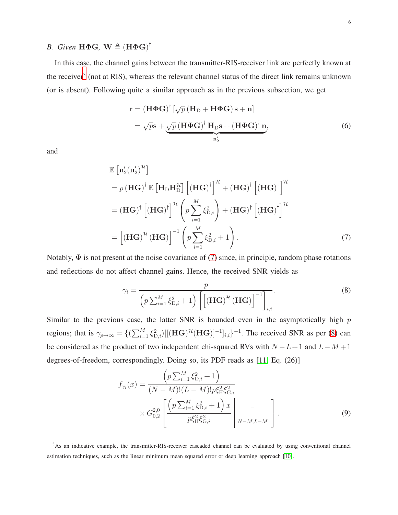# *B. Given H* $\Phi$ G,  $\mathbf{W} \triangleq (\mathbf{H} \Phi \mathbf{G})^{\dagger}$

In this case, the channel gains between the transmitter-RIS-receiver link are perfectly known at the receiver<sup>[3](#page-5-0)</sup> (not at RIS), whereas the relevant channel status of the direct link remains unknown (or is absent). Following quite a similar approach as in the previous subsection, we get

$$
\mathbf{r} = (\mathbf{H}\Phi\mathbf{G})^{\dagger} [\sqrt{p} (\mathbf{H}_{\mathrm{D}} + \mathbf{H}\Phi\mathbf{G})\mathbf{s} + \mathbf{n}]
$$
  
=  $\sqrt{p}\mathbf{s} + \underbrace{\sqrt{p} (\mathbf{H}\Phi\mathbf{G})^{\dagger} \mathbf{H}_{\mathrm{D}}\mathbf{s} + (\mathbf{H}\Phi\mathbf{G})^{\dagger} \mathbf{n}}_{\mathbf{n}'_{2}},$  (6)

and

$$
\mathbb{E}\left[\mathbf{n}'_{2}(\mathbf{n}'_{2})^{\mathcal{H}}\right]
$$
\n
$$
= p(\mathbf{HG})^{\dagger} \mathbb{E}\left[\mathbf{H}_{D}\mathbf{H}_{D}^{\mathcal{H}}\right] \left[(\mathbf{HG})^{\dagger}\right]^{\mathcal{H}} + (\mathbf{HG})^{\dagger} \left[(\mathbf{HG})^{\dagger}\right]^{\mathcal{H}}
$$
\n
$$
= (\mathbf{HG})^{\dagger} \left[(\mathbf{HG})^{\dagger}\right]^{\mathcal{H}} \left(p \sum_{i=1}^{M} \xi_{D,i}^{2}\right) + (\mathbf{HG})^{\dagger} \left[(\mathbf{HG})^{\dagger}\right]^{\mathcal{H}}
$$
\n
$$
= \left[(\mathbf{HG})^{\mathcal{H}}(\mathbf{HG})\right]^{-1} \left(p \sum_{i=1}^{M} \xi_{D,i}^{2} + 1\right). \tag{7}
$$

Notably,  $\Phi$  is not present at the noise covariance of [\(7\)](#page-5-1) since, in principle, random phase rotations and reflections do not affect channel gains. Hence, the received SNR yields as

<span id="page-5-2"></span><span id="page-5-1"></span>
$$
\gamma_i = \frac{p}{\left(p \sum_{i=1}^M \xi_{\mathrm{D},i}^2 + 1\right) \left[\left[\left(\mathbf{H} \mathbf{G}\right)^{\mathcal{H}} \left(\mathbf{H} \mathbf{G}\right)\right]^{-1}\right]_{i,i}}.
$$
\n(8)

Similar to the previous case, the latter SNR is bounded even in the asymptotically high  $p$ regions; that is  $\gamma_{p\to\infty} = \{(\sum_{i=1}^M \xi_{\text{D},i}^2)[[(\mathbf{HG})^{\mathcal{H}}(\mathbf{HG})]^{-1}]_{i,i}\}^{-1}$ . The received SNR as per [\(8\)](#page-5-2) can be considered as the product of two independent chi-squared RVs with  $N - L + 1$  and  $L - M + 1$ degrees-of-freedom, correspondingly. Doing so, its PDF reads as [\[11,](#page-12-2) Eq. (26)]

$$
f_{\gamma_i}(x) = \frac{\left(p \sum_{i=1}^M \xi_{\text{D},i}^2 + 1\right)}{(N-M)!(L-M)!p\xi_{\text{H}}^2\xi_{\text{G},i}^2} \times G_{0,2}^{2,0} \left[\frac{\left(p \sum_{i=1}^M \xi_{\text{D},i}^2 + 1\right)x}{p\xi_{\text{H}}^2\xi_{\text{G},i}^2}\right]_{N-M,L-M} \right].
$$
\n(9)

<span id="page-5-0"></span><sup>3</sup>As an indicative example, the transmitter-RIS-receiver cascaded channel can be evaluated by using conventional channel estimation techniques, such as the linear minimum mean squared error or deep learning approach [\[10\]](#page-12-3).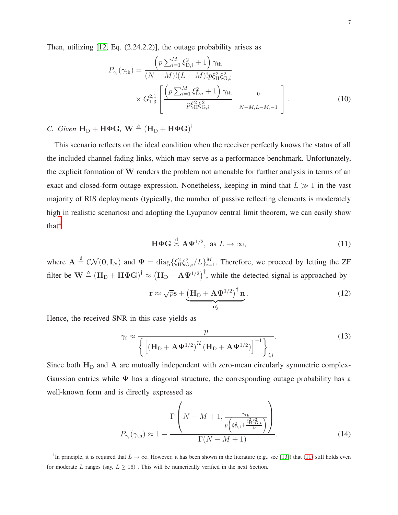Then, utilizing [\[12,](#page-12-4) Eq. (2.24.2.2)], the outage probability arises as

$$
P_{\gamma_i}(\gamma_{th}) = \frac{\left(p \sum_{i=1}^M \xi_{D,i}^2 + 1\right) \gamma_{th}}{(N - M)!(L - M)!p\xi_H^2 \xi_{G,i}^2} \times G_{1,3}^{2,1} \left[ \frac{\left(p \sum_{i=1}^M \xi_{D,i}^2 + 1\right) \gamma_{th}}{p\xi_H^2 \xi_{G,i}^2} \right]_{N - M,L - M,-1}^0 \right].
$$
 (10)

*C. Given*  $\mathbf{H}_{\mathrm{D}} + \mathbf{H} \mathbf{\Phi} \mathbf{G}, \ \mathbf{W} \triangleq (\mathbf{H}_{\mathrm{D}} + \mathbf{H} \mathbf{\Phi} \mathbf{G})^{\dagger}$ 

This scenario reflects on the ideal condition when the receiver perfectly knows the status of all the included channel fading links, which may serve as a performance benchmark. Unfortunately, the explicit formation of W renders the problem not amenable for further analysis in terms of an exact and closed-form outage expression. Nonetheless, keeping in mind that  $L \gg 1$  in the vast majority of RIS deployments (typically, the number of passive reflecting elements is moderately high in realistic scenarios) and adopting the Lyapunov central limit theorem, we can easily show that<sup>[4](#page-6-0)</sup>

<span id="page-6-1"></span>
$$
\mathbf{H}\Phi\mathbf{G} \stackrel{\mathrm{d}}{\asymp} \mathbf{A}\Psi^{1/2}, \text{ as } L \to \infty,
$$
 (11)

where  $\mathbf{A} \stackrel{d}{=} \mathcal{CN}(\mathbf{0}, \mathbf{I}_N)$  and  $\Psi = \text{diag}\{\xi_H^2 \xi_{G,i}^2/L\}_{i=1}^M$ . Therefore, we proceed by letting the ZF filter be  $\mathbf{W} \triangleq (\mathbf{H}_{\mathrm{D}} + \mathbf{H} \mathbf{\Phi} \mathbf{G})^{\dagger} \approx (\mathbf{H}_{\mathrm{D}} + \mathbf{A} \mathbf{\Psi}^{1/2})^{\dagger}$ , while the detected signal is approached by

$$
\mathbf{r} \approx \sqrt{p}\mathbf{s} + \underbrace{\left(\mathbf{H}_{\mathrm{D}} + \mathbf{A}\boldsymbol{\Psi}^{1/2}\right)^{\dagger}\mathbf{n}}_{\mathbf{n}'_3}.
$$
 (12)

Hence, the received SNR in this case yields as

$$
\gamma_i \approx \frac{p}{\left\{ \left[ \left( \mathbf{H}_{\mathrm{D}} + \mathbf{A} \boldsymbol{\Psi}^{1/2} \right)^{\mathcal{H}} \left( \mathbf{H}_{\mathrm{D}} + \mathbf{A} \boldsymbol{\Psi}^{1/2} \right) \right]^{-1} \right\}_{i,i}}.
$$
(13)

Since both  $H_D$  and A are mutually independent with zero-mean circularly symmetric complex-Gaussian entries while  $\Psi$  has a diagonal structure, the corresponding outage probability has a well-known form and is directly expressed as

$$
P_{\gamma_i}(\gamma_{\text{th}}) \approx 1 - \frac{\Gamma\left(N - M + 1, \frac{\gamma_{\text{th}}}{p\left(\xi_{\text{D},i}^2 + \frac{\xi_{\text{H}}^2 \zeta_{\text{G},i}^2}{L}\right)}\right)}{\Gamma(N - M + 1)}.
$$
\n(14)

<span id="page-6-0"></span><sup>4</sup>In principle, it is required that  $L \to \infty$ . However, it has been shown in the literature (e.g., see [\[13\]](#page-12-5)) that [\(11\)](#page-6-1) still holds even for moderate L ranges (say,  $L \ge 16$ ). This will be numerically verified in the next Section.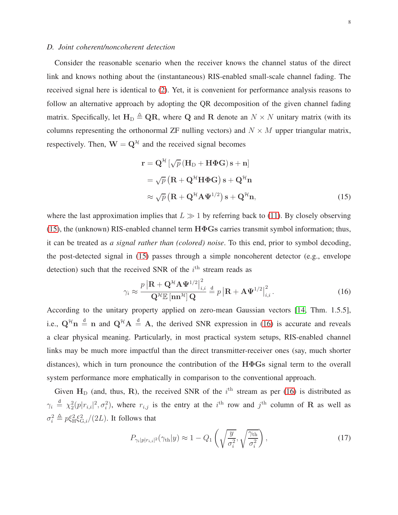# *D. Joint coherent/noncoherent detection*

Consider the reasonable scenario when the receiver knows the channel status of the direct link and knows nothing about the (instantaneous) RIS-enabled small-scale channel fading. The received signal here is identical to [\(2\)](#page-4-1). Yet, it is convenient for performance analysis reasons to follow an alternative approach by adopting the QR decomposition of the given channel fading matrix. Specifically, let  $H_D \triangleq QR$ , where Q and R denote an  $N \times N$  unitary matrix (with its columns representing the orthonormal ZF nulling vectors) and  $N \times M$  upper triangular matrix, respectively. Then,  $W = Q^{\mathcal{H}}$  and the received signal becomes

<span id="page-7-0"></span>
$$
\mathbf{r} = \mathbf{Q}^{\mathcal{H}} \left[ \sqrt{p} \left( \mathbf{H}_{\mathrm{D}} + \mathbf{H} \boldsymbol{\Phi} \mathbf{G} \right) \mathbf{s} + \mathbf{n} \right]
$$
  
=  $\sqrt{p} \left( \mathbf{R} + \mathbf{Q}^{\mathcal{H}} \mathbf{H} \boldsymbol{\Phi} \mathbf{G} \right) \mathbf{s} + \mathbf{Q}^{\mathcal{H}} \mathbf{n}$   
 $\approx \sqrt{p} \left( \mathbf{R} + \mathbf{Q}^{\mathcal{H}} \mathbf{A} \boldsymbol{\Psi}^{1/2} \right) \mathbf{s} + \mathbf{Q}^{\mathcal{H}} \mathbf{n},$  (15)

where the last approximation implies that  $L \gg 1$  by referring back to [\(11\)](#page-6-1). By closely observing [\(15\)](#page-7-0), the (unknown) RIS-enabled channel term  $H\Phi$ Gs carries transmit symbol information; thus, it can be treated as *a signal rather than (colored) noise*. To this end, prior to symbol decoding, the post-detected signal in [\(15\)](#page-7-0) passes through a simple noncoherent detector (e.g., envelope detection) such that the received SNR of the  $i<sup>th</sup>$  stream reads as

<span id="page-7-1"></span>
$$
\gamma_i \approx \frac{p \left| \mathbf{R} + \mathbf{Q}^{\mathcal{H}} \mathbf{A} \mathbf{\Psi}^{1/2} \right|_{i,i}^2}{\mathbf{Q}^{\mathcal{H}} \mathbb{E} \left[ \mathbf{n} \mathbf{n}^{\mathcal{H}} \right] \mathbf{Q}} \stackrel{\text{d}}{=} p \left| \mathbf{R} + \mathbf{A} \mathbf{\Psi}^{1/2} \right|_{i,i}^2. \tag{16}
$$

According to the unitary property applied on zero-mean Gaussian vectors [\[14,](#page-12-6) Thm. 1.5.5], i.e.,  $Q^{\mathcal{H}}n \stackrel{d}{=} n$  and  $Q^{\mathcal{H}}A \stackrel{d}{=} A$ , the derived SNR expression in [\(16\)](#page-7-1) is accurate and reveals a clear physical meaning. Particularly, in most practical system setups, RIS-enabled channel links may be much more impactful than the direct transmitter-receiver ones (say, much shorter distances), which in turn pronounce the contribution of the HΦGs signal term to the overall system performance more emphatically in comparison to the conventional approach.

Given  $H<sub>D</sub>$  (and, thus, R), the received SNR of the  $i<sup>th</sup>$  stream as per [\(16\)](#page-7-1) is distributed as  $\gamma_i \stackrel{\text{d}}{=} \chi_2^2(p|r_{i,i}|^2, \sigma_i^2)$ , where  $r_{i,j}$  is the entry at the i<sup>th</sup> row and j<sup>th</sup> column of **R** as well as  $\sigma_i^2 \triangleq p \xi_{\text{H}}^2 \xi_{\text{G},i}^2/(2L)$ . It follows that

$$
P_{\gamma_i|p|r_{i,i}|^2}(\gamma_{\text{th}}|y) \approx 1 - Q_1\left(\sqrt{\frac{y}{\sigma_i^2}}, \sqrt{\frac{\gamma_{\text{th}}}{\sigma_i^2}}\right),\tag{17}
$$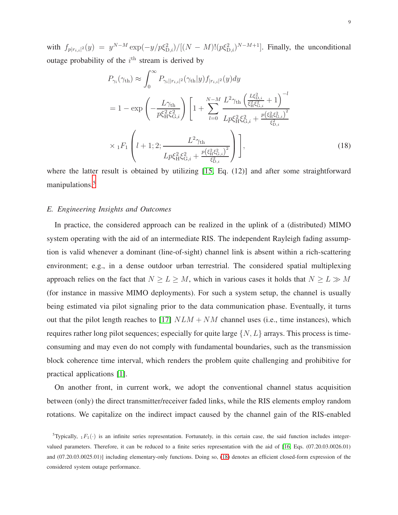with  $f_{p|r_{i,i}|^2}(y) = y^{N-M} \exp(-y/p \xi_{D,i}^2)/[(N-M)!(p \xi_{D,i}^2)^{N-M+1}]$ . Finally, the unconditional outage probability of the  $i<sup>th</sup>$  stream is derived by

<span id="page-8-1"></span>
$$
P_{\gamma_i}(\gamma_{th}) \approx \int_0^{\infty} P_{\gamma_i || r_{i,i} |^2}(\gamma_{th} | y) f_{|r_{i,i} |^2}(y) dy
$$
  
=  $1 - \exp\left(-\frac{L\gamma_{th}}{p\xi_H^2 \xi_{G,i}^2}\right) \left[1 + \sum_{l=0}^{N-M} \frac{L^2 \gamma_{th} \left(\frac{L\xi_{D,i}^2}{\xi_H^2 \xi_{G,i}^2} + 1\right)^{-l}}{Lp\xi_H^2 \xi_{G,i}^2 + \frac{p(\xi_H^2 \xi_{G,i}^2)^2}{\xi_{D,i}^2}}\right]$   
 $\times {}_1F_1\left(l + 1; 2; \frac{L^2 \gamma_{th}}{Lp\xi_H^2 \xi_{G,i}^2 + \frac{p(\xi_H^2 \xi_{G,i}^2)^2}{\xi_{D,i}^2}}\right)\right],$  (18)

where the latter result is obtained by utilizing [\[15,](#page-12-7) Eq. (12)] and after some straightforward manipulations.<sup>[5](#page-8-0)</sup>

# *E. Engineering Insights and Outcomes*

In practice, the considered approach can be realized in the uplink of a (distributed) MIMO system operating with the aid of an intermediate RIS. The independent Rayleigh fading assumption is valid whenever a dominant (line-of-sight) channel link is absent within a rich-scattering environment; e.g., in a dense outdoor urban terrestrial. The considered spatial multiplexing approach relies on the fact that  $N \ge L \ge M$ , which in various cases it holds that  $N \ge L \gg M$ (for instance in massive MIMO deployments). For such a system setup, the channel is usually being estimated via pilot signaling prior to the data communication phase. Eventually, it turns out that the pilot length reaches to [\[17\]](#page-12-8)  $NLM + NM$  channel uses (i.e., time instances), which requires rather long pilot sequences; especially for quite large  $\{N, L\}$  arrays. This process is timeconsuming and may even do not comply with fundamental boundaries, such as the transmission block coherence time interval, which renders the problem quite challenging and prohibitive for practical applications [\[1\]](#page-11-0).

On another front, in current work, we adopt the conventional channel status acquisition between (only) the direct transmitter/receiver faded links, while the RIS elements employ random rotations. We capitalize on the indirect impact caused by the channel gain of the RIS-enabled

<span id="page-8-0"></span><sup>&</sup>lt;sup>5</sup>Typically,  $_1F_1(\cdot)$  is an infinite series representation. Fortunately, in this certain case, the said function includes integervalued parameters. Therefore, it can be reduced to a finite series representation with the aid of [\[16,](#page-12-9) Eqs. (07.20.03.0026.01) and (07.20.03.0025.01)] including elementary-only functions. Doing so, [\(18\)](#page-8-1) denotes an efficient closed-form expression of the considered system outage performance.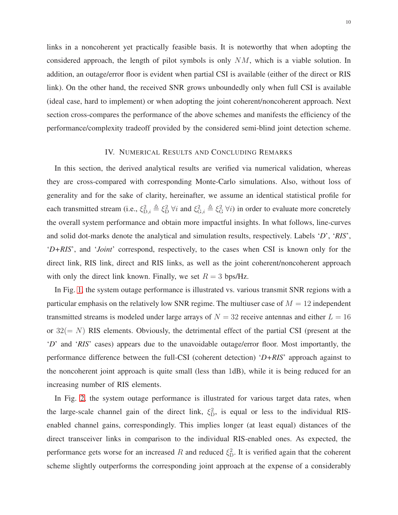links in a noncoherent yet practically feasible basis. It is noteworthy that when adopting the considered approach, the length of pilot symbols is only NM, which is a viable solution. In addition, an outage/error floor is evident when partial CSI is available (either of the direct or RIS link). On the other hand, the received SNR grows unboundedly only when full CSI is available (ideal case, hard to implement) or when adopting the joint coherent/noncoherent approach. Next section cross-compares the performance of the above schemes and manifests the efficiency of the performance/complexity tradeoff provided by the considered semi-blind joint detection scheme.

#### IV. NUMERICAL RESULTS AND CONCLUDING REMARKS

In this section, the derived analytical results are verified via numerical validation, whereas they are cross-compared with corresponding Monte-Carlo simulations. Also, without loss of generality and for the sake of clarity, hereinafter, we assume an identical statistical profile for each transmitted stream (i.e.,  $\xi_{D,i}^2 \triangleq \xi_D^2 \forall i$  and  $\xi_{G,i}^2 \triangleq \xi_G^2 \forall i$ ) in order to evaluate more concretely the overall system performance and obtain more impactful insights. In what follows, line-curves and solid dot-marks denote the analytical and simulation results, respectively. Labels '*D*', '*RIS*', '*D+RIS*', and '*Joint*' correspond, respectively, to the cases when CSI is known only for the direct link, RIS link, direct and RIS links, as well as the joint coherent/noncoherent approach with only the direct link known. Finally, we set  $R = 3$  bps/Hz.

In Fig. [1,](#page-10-0) the system outage performance is illustrated vs. various transmit SNR regions with a particular emphasis on the relatively low SNR regime. The multiuser case of  $M = 12$  independent transmitted streams is modeled under large arrays of  $N = 32$  receive antennas and either  $L = 16$ or  $32(= N)$  RIS elements. Obviously, the detrimental effect of the partial CSI (present at the '*D*' and '*RIS*' cases) appears due to the unavoidable outage/error floor. Most importantly, the performance difference between the full-CSI (coherent detection) '*D+RIS*' approach against to the noncoherent joint approach is quite small (less than 1dB), while it is being reduced for an increasing number of RIS elements.

In Fig. [2,](#page-11-5) the system outage performance is illustrated for various target data rates, when the large-scale channel gain of the direct link,  $\xi_{\rm D}^2$ , is equal or less to the individual RISenabled channel gains, correspondingly. This implies longer (at least equal) distances of the direct transceiver links in comparison to the individual RIS-enabled ones. As expected, the performance gets worse for an increased R and reduced  $\xi_{\rm D}^2$ . It is verified again that the coherent scheme slightly outperforms the corresponding joint approach at the expense of a considerably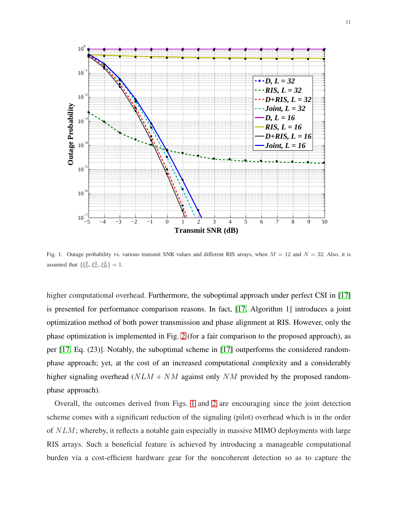

<span id="page-10-0"></span>Fig. 1. Outage probability vs. various transmit SNR values and different RIS arrays, when  $M = 12$  and  $N = 32$ . Also, it is assumed that  $\{\xi_{\rm D}^2, \xi_{\rm G}^2, \xi_{\rm H}^2\} = 1$ .

higher computational overhead. Furthermore, the suboptimal approach under perfect CSI in [\[17\]](#page-12-8) is presented for performance comparison reasons. In fact, [\[17,](#page-12-8) Algorithm 1] introduces a joint optimization method of both power transmission and phase alignment at RIS. However, only the phase optimization is implemented in Fig. [2](#page-11-5) (for a fair comparison to the proposed approach), as per [\[17,](#page-12-8) Eq. (23)]. Notably, the suboptimal scheme in [\[17\]](#page-12-8) outperforms the considered randomphase approach; yet, at the cost of an increased computational complexity and a considerably higher signaling overhead  $(NLM + NM)$  against only NM provided by the proposed randomphase approach).

Overall, the outcomes derived from Figs. [1](#page-10-0) and [2](#page-11-5) are encouraging since the joint detection scheme comes with a significant reduction of the signaling (pilot) overhead which is in the order of NLM; whereby, it reflects a notable gain especially in massive MIMO deployments with large RIS arrays. Such a beneficial feature is achieved by introducing a manageable computational burden via a cost-efficient hardware gear for the noncoherent detection so as to capture the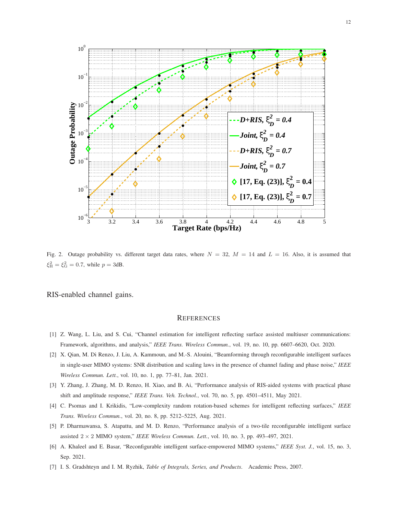

<span id="page-11-5"></span>Fig. 2. Outage probability vs. different target data rates, where  $N = 32$ ,  $M = 14$  and  $L = 16$ . Also, it is assumed that  $\xi_{\rm H}^2 = \xi_{\rm G}^2 = 0.7$ , while  $p = 3$ dB.

RIS-enabled channel gains.

### **REFERENCES**

- <span id="page-11-0"></span>[1] Z. Wang, L. Liu, and S. Cui, "Channel estimation for intelligent reflecting surface assisted multiuser communications: Framework, algorithms, and analysis," *IEEE Trans. Wireless Commun.*, vol. 19, no. 10, pp. 6607–6620, Oct. 2020.
- [2] X. Qian, M. Di Renzo, J. Liu, A. Kammoun, and M.-S. Alouini, "Beamforming through reconfigurable intelligent surfaces in single-user MIMO systems: SNR distribution and scaling laws in the presence of channel fading and phase noise," *IEEE Wireless Commun. Lett.*, vol. 10, no. 1, pp. 77–81, Jan. 2021.
- <span id="page-11-1"></span>[3] Y. Zhang, J. Zhang, M. D. Renzo, H. Xiao, and B. Ai, "Performance analysis of RIS-aided systems with practical phase shift and amplitude response," *IEEE Trans. Veh. Technol.*, vol. 70, no. 5, pp. 4501–4511, May 2021.
- <span id="page-11-2"></span>[4] C. Psomas and I. Krikidis, "Low-complexity random rotation-based schemes for intelligent reflecting surfaces," *IEEE Trans. Wireless Commun.*, vol. 20, no. 8, pp. 5212–5225, Aug. 2021.
- <span id="page-11-3"></span>[5] P. Dharmawansa, S. Atapattu, and M. D. Renzo, "Performance analysis of a two-tile reconfigurable intelligent surface assisted 2 × 2 MIMO system," *IEEE Wireless Commun. Lett.*, vol. 10, no. 3, pp. 493–497, 2021.
- <span id="page-11-4"></span>[6] A. Khaleel and E. Basar, "Reconfigurable intelligent surface-empowered MIMO systems," *IEEE Syst. J.*, vol. 15, no. 3, Sep. 2021.
- [7] I. S. Gradshteyn and I. M. Ryzhik, *Table of Integrals, Series, and Products*. Academic Press, 2007.